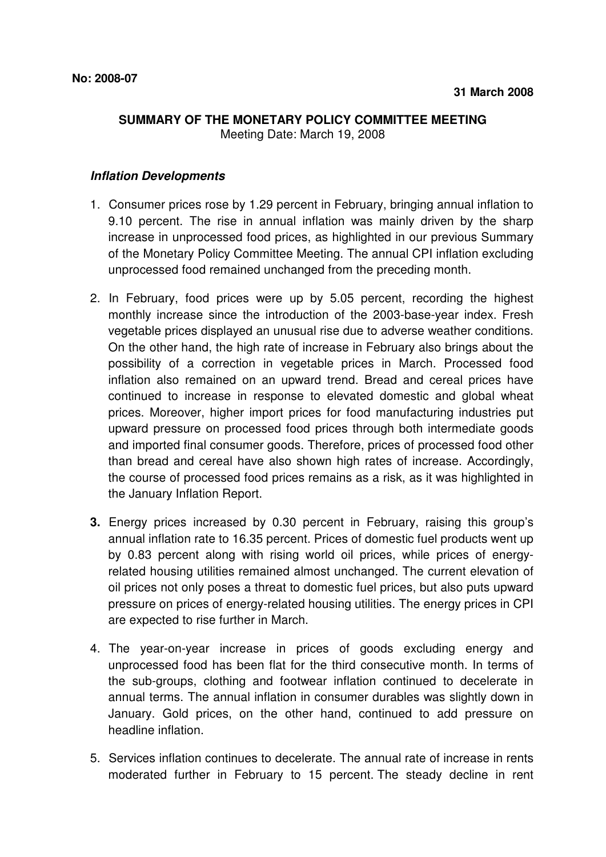## **SUMMARY OF THE MONETARY POLICY COMMITTEE MEETING**

Meeting Date: March 19, 2008

## **Inflation Developments**

- 1. Consumer prices rose by 1.29 percent in February, bringing annual inflation to 9.10 percent. The rise in annual inflation was mainly driven by the sharp increase in unprocessed food prices, as highlighted in our previous Summary of the Monetary Policy Committee Meeting. The annual CPI inflation excluding unprocessed food remained unchanged from the preceding month.
- 2. In February, food prices were up by 5.05 percent, recording the highest monthly increase since the introduction of the 2003-base-year index. Fresh vegetable prices displayed an unusual rise due to adverse weather conditions. On the other hand, the high rate of increase in February also brings about the possibility of a correction in vegetable prices in March. Processed food inflation also remained on an upward trend. Bread and cereal prices have continued to increase in response to elevated domestic and global wheat prices. Moreover, higher import prices for food manufacturing industries put upward pressure on processed food prices through both intermediate goods and imported final consumer goods. Therefore, prices of processed food other than bread and cereal have also shown high rates of increase. Accordingly, the course of processed food prices remains as a risk, as it was highlighted in the January Inflation Report.
- **3.** Energy prices increased by 0.30 percent in February, raising this group's annual inflation rate to 16.35 percent. Prices of domestic fuel products went up by 0.83 percent along with rising world oil prices, while prices of energyrelated housing utilities remained almost unchanged. The current elevation of oil prices not only poses a threat to domestic fuel prices, but also puts upward pressure on prices of energy-related housing utilities. The energy prices in CPI are expected to rise further in March.
- 4. The year-on-year increase in prices of goods excluding energy and unprocessed food has been flat for the third consecutive month. In terms of the sub-groups, clothing and footwear inflation continued to decelerate in annual terms. The annual inflation in consumer durables was slightly down in January. Gold prices, on the other hand, continued to add pressure on headline inflation.
- 5. Services inflation continues to decelerate. The annual rate of increase in rents moderated further in February to 15 percent. The steady decline in rent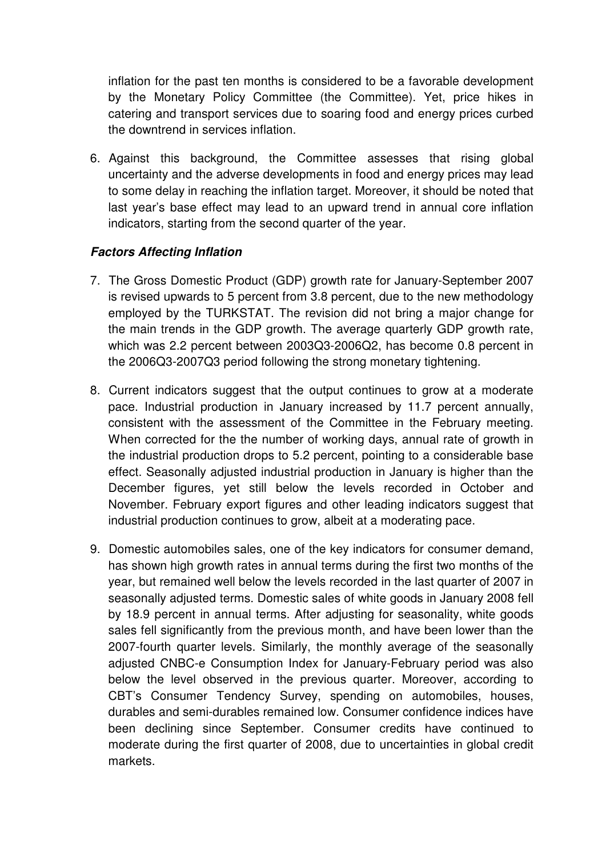inflation for the past ten months is considered to be a favorable development by the Monetary Policy Committee (the Committee). Yet, price hikes in catering and transport services due to soaring food and energy prices curbed the downtrend in services inflation.

6. Against this background, the Committee assesses that rising global uncertainty and the adverse developments in food and energy prices may lead to some delay in reaching the inflation target. Moreover, it should be noted that last year's base effect may lead to an upward trend in annual core inflation indicators, starting from the second quarter of the year.

## **Factors Affecting Inflation**

- 7. The Gross Domestic Product (GDP) growth rate for January-September 2007 is revised upwards to 5 percent from 3.8 percent, due to the new methodology employed by the TURKSTAT. The revision did not bring a major change for the main trends in the GDP growth. The average quarterly GDP growth rate, which was 2.2 percent between 2003Q3-2006Q2, has become 0.8 percent in the 2006Q3-2007Q3 period following the strong monetary tightening.
- 8. Current indicators suggest that the output continues to grow at a moderate pace. Industrial production in January increased by 11.7 percent annually, consistent with the assessment of the Committee in the February meeting. When corrected for the the number of working days, annual rate of growth in the industrial production drops to 5.2 percent, pointing to a considerable base effect. Seasonally adjusted industrial production in January is higher than the December figures, yet still below the levels recorded in October and November. February export figures and other leading indicators suggest that industrial production continues to grow, albeit at a moderating pace.
- 9. Domestic automobiles sales, one of the key indicators for consumer demand, has shown high growth rates in annual terms during the first two months of the year, but remained well below the levels recorded in the last quarter of 2007 in seasonally adjusted terms. Domestic sales of white goods in January 2008 fell by 18.9 percent in annual terms. After adjusting for seasonality, white goods sales fell significantly from the previous month, and have been lower than the 2007-fourth quarter levels. Similarly, the monthly average of the seasonally adjusted CNBC-e Consumption Index for January-February period was also below the level observed in the previous quarter. Moreover, according to CBT's Consumer Tendency Survey, spending on automobiles, houses, durables and semi-durables remained low. Consumer confidence indices have been declining since September. Consumer credits have continued to moderate during the first quarter of 2008, due to uncertainties in global credit markets.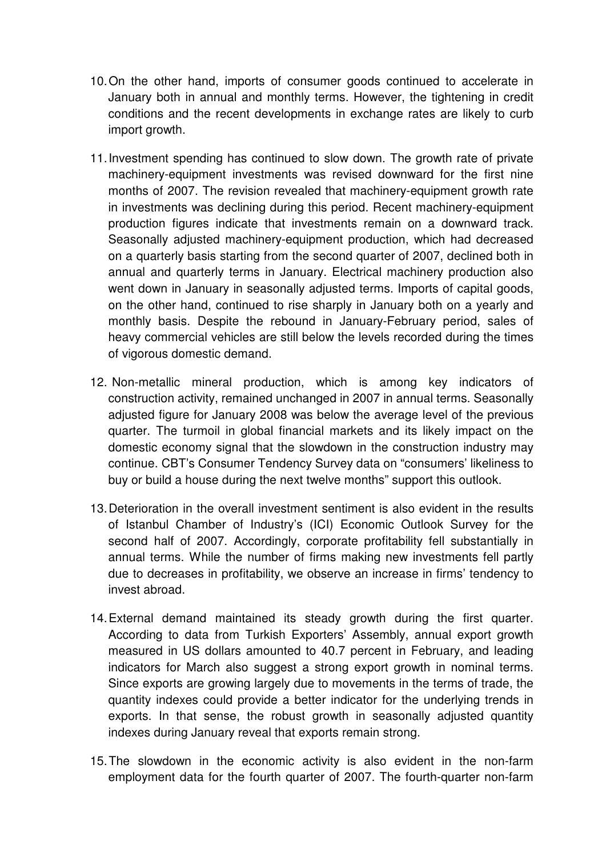- 10. On the other hand, imports of consumer goods continued to accelerate in January both in annual and monthly terms. However, the tightening in credit conditions and the recent developments in exchange rates are likely to curb import growth.
- 11. Investment spending has continued to slow down. The growth rate of private machinery-equipment investments was revised downward for the first nine months of 2007. The revision revealed that machinery-equipment growth rate in investments was declining during this period. Recent machinery-equipment production figures indicate that investments remain on a downward track. Seasonally adjusted machinery-equipment production, which had decreased on a quarterly basis starting from the second quarter of 2007, declined both in annual and quarterly terms in January. Electrical machinery production also went down in January in seasonally adjusted terms. Imports of capital goods, on the other hand, continued to rise sharply in January both on a yearly and monthly basis. Despite the rebound in January-February period, sales of heavy commercial vehicles are still below the levels recorded during the times of vigorous domestic demand.
- 12. Non-metallic mineral production, which is among key indicators of construction activity, remained unchanged in 2007 in annual terms. Seasonally adjusted figure for January 2008 was below the average level of the previous quarter. The turmoil in global financial markets and its likely impact on the domestic economy signal that the slowdown in the construction industry may continue. CBT's Consumer Tendency Survey data on "consumers' likeliness to buy or build a house during the next twelve months" support this outlook.
- 13. Deterioration in the overall investment sentiment is also evident in the results of Istanbul Chamber of Industry's (ICI) Economic Outlook Survey for the second half of 2007. Accordingly, corporate profitability fell substantially in annual terms. While the number of firms making new investments fell partly due to decreases in profitability, we observe an increase in firms' tendency to invest abroad.
- 14. External demand maintained its steady growth during the first quarter. According to data from Turkish Exporters' Assembly, annual export growth measured in US dollars amounted to 40.7 percent in February, and leading indicators for March also suggest a strong export growth in nominal terms. Since exports are growing largely due to movements in the terms of trade, the quantity indexes could provide a better indicator for the underlying trends in exports. In that sense, the robust growth in seasonally adjusted quantity indexes during January reveal that exports remain strong.
- 15. The slowdown in the economic activity is also evident in the non-farm employment data for the fourth quarter of 2007. The fourth-quarter non-farm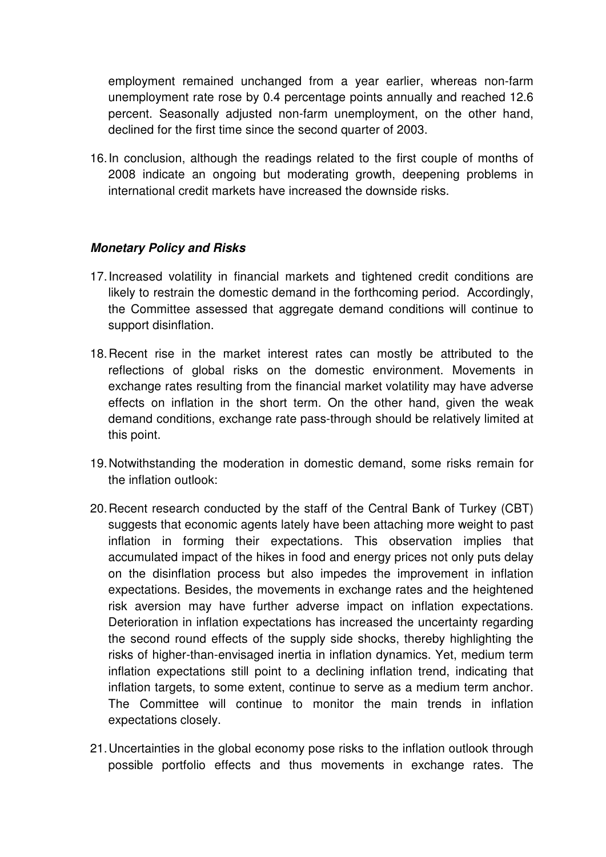employment remained unchanged from a year earlier, whereas non-farm unemployment rate rose by 0.4 percentage points annually and reached 12.6 percent. Seasonally adjusted non-farm unemployment, on the other hand, declined for the first time since the second quarter of 2003.

16. In conclusion, although the readings related to the first couple of months of 2008 indicate an ongoing but moderating growth, deepening problems in international credit markets have increased the downside risks.

## **Monetary Policy and Risks**

- 17. Increased volatility in financial markets and tightened credit conditions are likely to restrain the domestic demand in the forthcoming period. Accordingly, the Committee assessed that aggregate demand conditions will continue to support disinflation.
- 18. Recent rise in the market interest rates can mostly be attributed to the reflections of global risks on the domestic environment. Movements in exchange rates resulting from the financial market volatility may have adverse effects on inflation in the short term. On the other hand, given the weak demand conditions, exchange rate pass-through should be relatively limited at this point.
- 19. Notwithstanding the moderation in domestic demand, some risks remain for the inflation outlook:
- 20. Recent research conducted by the staff of the Central Bank of Turkey (CBT) suggests that economic agents lately have been attaching more weight to past inflation in forming their expectations. This observation implies that accumulated impact of the hikes in food and energy prices not only puts delay on the disinflation process but also impedes the improvement in inflation expectations. Besides, the movements in exchange rates and the heightened risk aversion may have further adverse impact on inflation expectations. Deterioration in inflation expectations has increased the uncertainty regarding the second round effects of the supply side shocks, thereby highlighting the risks of higher-than-envisaged inertia in inflation dynamics. Yet, medium term inflation expectations still point to a declining inflation trend, indicating that inflation targets, to some extent, continue to serve as a medium term anchor. The Committee will continue to monitor the main trends in inflation expectations closely.
- 21. Uncertainties in the global economy pose risks to the inflation outlook through possible portfolio effects and thus movements in exchange rates. The